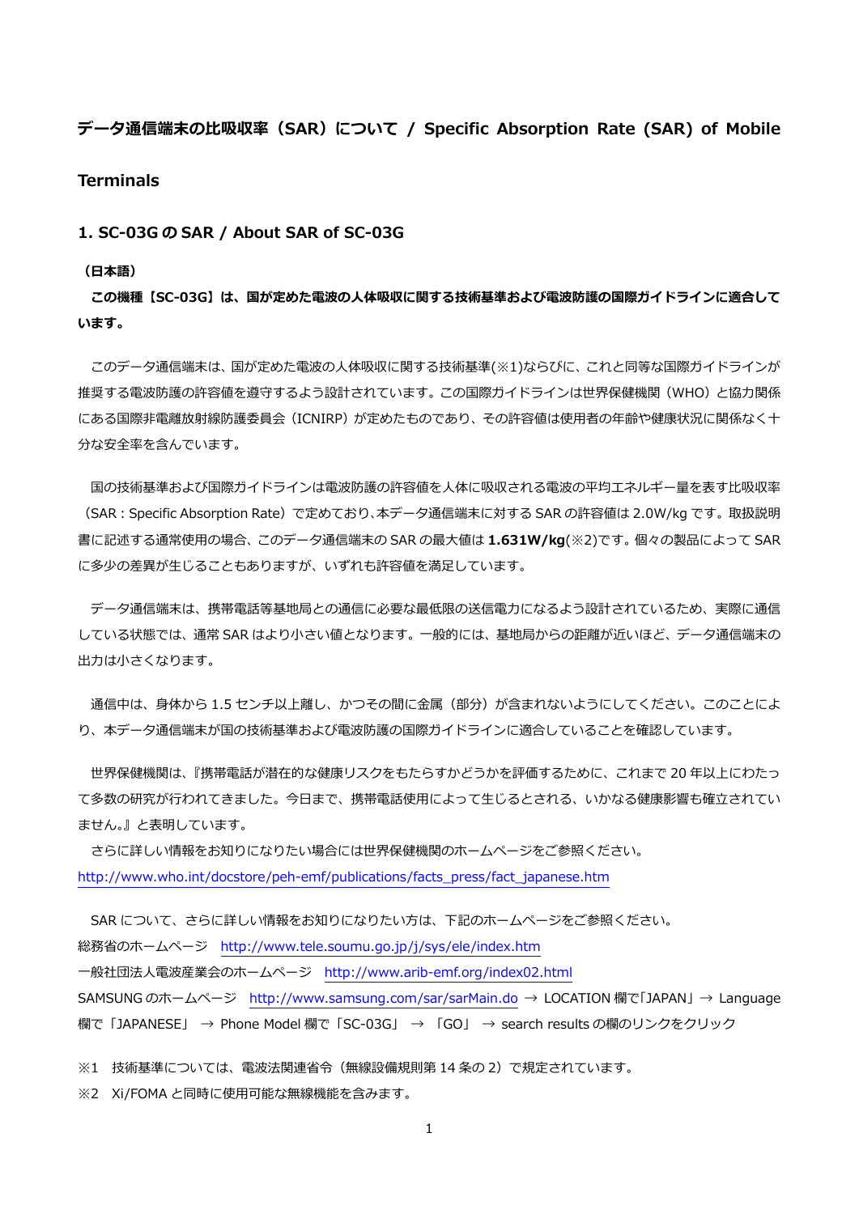# **データ通信端末の⽐吸収率(SAR)について / Specific Absorption Rate (SAR) of Mobile**

## **Terminals**

**1. SC-03G の SAR / About SAR of SC-03G** 

#### **(⽇本語)**

**この機種【SC-03G】は、国が定めた電波の⼈体吸収に関する技術基準および電波防護の国際ガイドラインに適合して います。** 

 このデータ通信端末は、国が定めた電波の⼈体吸収に関する技術基準(※1)ならびに、これと同等な国際ガイドラインが 推奨する電波防護の許容値を遵守するよう設計されています。この国際ガイドラインは世界保健機関(WHO)と協力関係 にある国際非電離放射線防護委員会(ICNIRP)が定めたものであり、その許容値は使用者の年齢や健康状況に関係なく十 分な安全率を含んでいます。

国の技術基準および国際ガイドラインは電波防護の許容値を人体に吸収される電波の平均エネルギー量を表す比吸収率 (SAR:Specific Absorption Rate)で定めており、本データ通信端末に対する SAR の許容値は 2.0W/kg です。取扱説明 書に記述する通常使⽤の場合、このデータ通信端末の SAR の最⼤値は **1.631W/kg**(※2)です。個々の製品によって SAR に多少の差異が生じることもありますが、いずれも許容値を満足しています。

 データ通信端末は、携帯電話等基地局との通信に必要な最低限の送信電⼒になるよう設計されているため、実際に通信 している状態では、通常 SAR はより⼩さい値となります。⼀般的には、基地局からの距離が近いほど、データ通信端末の 出力は小さくなります。

通信中は、身体から 1.5 センチ以上離し、かつその間に金属 (部分) が含まれないようにしてください。このことによ り、本データ通信端末が国の技術基準および電波防護の国際ガイドラインに適合していることを確認しています。

 世界保健機関は、『携帯電話が潜在的な健康リスクをもたらすかどうかを評価するために、これまで 20 年以上にわたっ て多数の研究が行われてきました。今日まで、携帯電話使用によって生じるとされる、いかなる健康影響も確立されてい ません。』と表明しています。

 さらに詳しい情報をお知りになりたい場合には世界保健機関のホームページをご参照ください。 http://www.who.int/docstore/peh-emf/publications/facts\_press/fact\_japanese.htm

SAR について、さらに詳しい情報をお知りになりたい方は、下記のホームページをご参照ください。 総務省のホームページ http://www.tele.soumu.go.jp/j/sys/ele/index.htm ⼀般社団法⼈電波産業会のホームページ http://www.arib-emf.org/index02.html SAMSUNG のホームページ http://www.samsung.com/sar/sarMain.do → LOCATION 欄で「JAPAN」 → Language 欄で「JAPANESE」 → Phone Model 欄で「SC-03G」 → 「GO」 → search results の欄のリンクをクリック

※1 技術基準については、電波法関連省令(無線設備規則第 14 条の 2)で規定されています。

※2 Xi/FOMA と同時に使用可能な無線機能を含みます。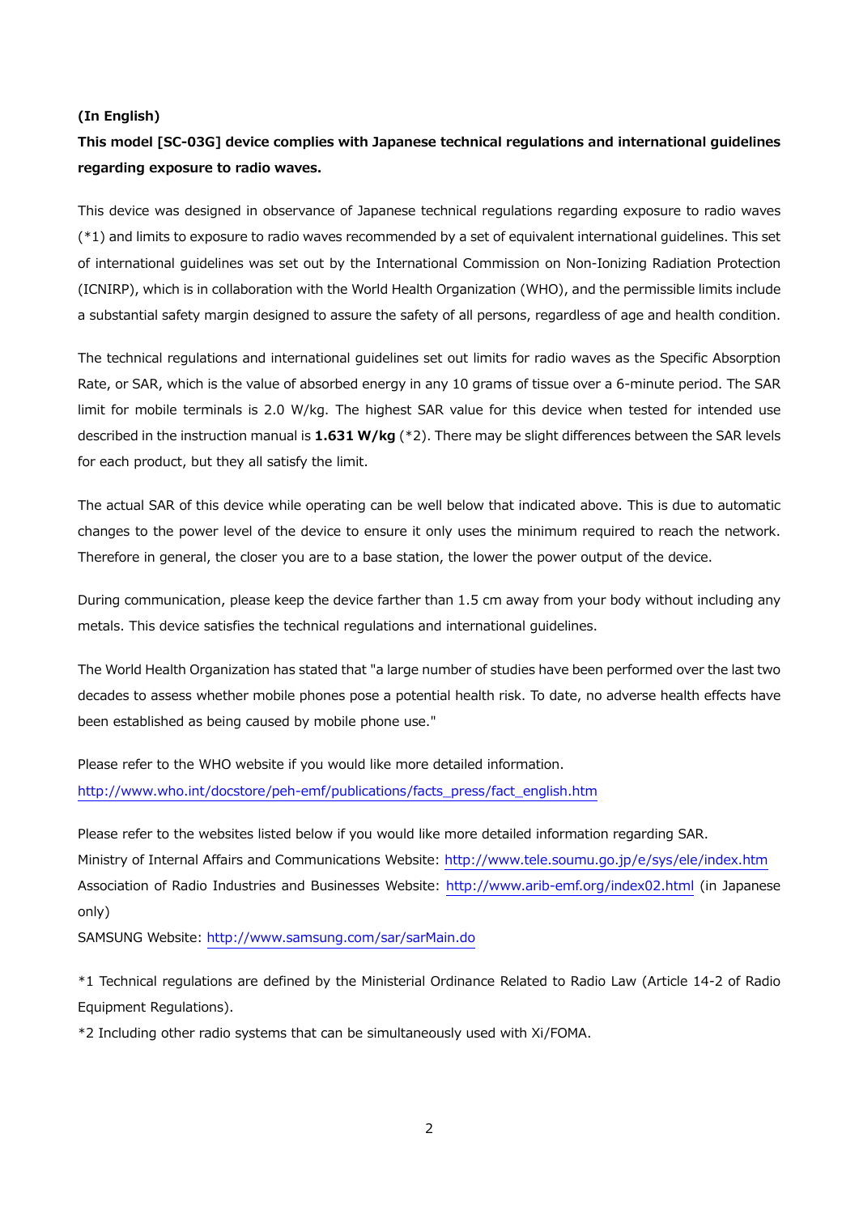#### **(In English)**

# **This model [SC-03G] device complies with Japanese technical regulations and international guidelines regarding exposure to radio waves.**

This device was designed in observance of Japanese technical regulations regarding exposure to radio waves (\*1) and limits to exposure to radio waves recommended by a set of equivalent international guidelines. This set of international guidelines was set out by the International Commission on Non-Ionizing Radiation Protection (ICNIRP), which is in collaboration with the World Health Organization (WHO), and the permissible limits include a substantial safety margin designed to assure the safety of all persons, regardless of age and health condition.

The technical regulations and international guidelines set out limits for radio waves as the Specific Absorption Rate, or SAR, which is the value of absorbed energy in any 10 grams of tissue over a 6-minute period. The SAR limit for mobile terminals is 2.0 W/kg. The highest SAR value for this device when tested for intended use described in the instruction manual is **1.631 W/kg** (\*2). There may be slight differences between the SAR levels for each product, but they all satisfy the limit.

The actual SAR of this device while operating can be well below that indicated above. This is due to automatic changes to the power level of the device to ensure it only uses the minimum required to reach the network. Therefore in general, the closer you are to a base station, the lower the power output of the device.

During communication, please keep the device farther than 1.5 cm away from your body without including any metals. This device satisfies the technical regulations and international guidelines.

The World Health Organization has stated that "a large number of studies have been performed over the last two decades to assess whether mobile phones pose a potential health risk. To date, no adverse health effects have been established as being caused by mobile phone use."

Please refer to the WHO website if you would like more detailed information. http://www.who.int/docstore/peh-emf/publications/facts\_press/fact\_english.htm

Please refer to the websites listed below if you would like more detailed information regarding SAR. Ministry of Internal Affairs and Communications Website: http://www.tele.soumu.go.jp/e/sys/ele/index.htm Association of Radio Industries and Businesses Website: http://www.arib-emf.org/index02.html (in Japanese only)

SAMSUNG Website: http://www.samsung.com/sar/sarMain.do

\*1 Technical regulations are defined by the Ministerial Ordinance Related to Radio Law (Article 14-2 of Radio Equipment Regulations).

\*2 Including other radio systems that can be simultaneously used with Xi/FOMA.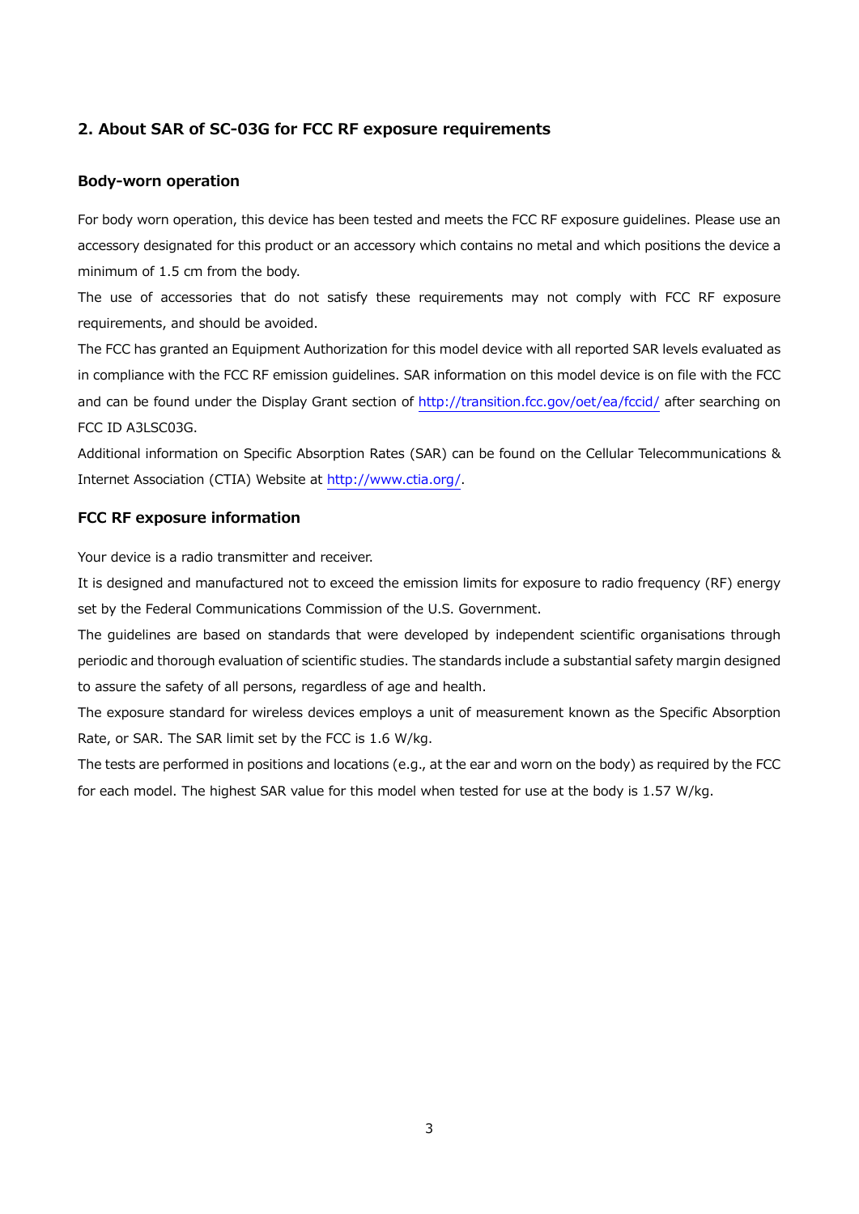## **2. About SAR of SC-03G for FCC RF exposure requirements**

## **Body-worn operation**

For body worn operation, this device has been tested and meets the FCC RF exposure guidelines. Please use an accessory designated for this product or an accessory which contains no metal and which positions the device a minimum of 1.5 cm from the body.

The use of accessories that do not satisfy these requirements may not comply with FCC RF exposure requirements, and should be avoided.

The FCC has granted an Equipment Authorization for this model device with all reported SAR levels evaluated as in compliance with the FCC RF emission guidelines. SAR information on this model device is on file with the FCC and can be found under the Display Grant section of http://transition.fcc.gov/oet/ea/fccid/ after searching on FCC ID A3LSC03G.

Additional information on Specific Absorption Rates (SAR) can be found on the Cellular Telecommunications & Internet Association (CTIA) Website at http://www.ctia.org/.

#### **FCC RF exposure information**

Your device is a radio transmitter and receiver.

It is designed and manufactured not to exceed the emission limits for exposure to radio frequency (RF) energy set by the Federal Communications Commission of the U.S. Government.

The guidelines are based on standards that were developed by independent scientific organisations through periodic and thorough evaluation of scientific studies. The standards include a substantial safety margin designed to assure the safety of all persons, regardless of age and health.

The exposure standard for wireless devices employs a unit of measurement known as the Specific Absorption Rate, or SAR. The SAR limit set by the FCC is 1.6 W/kg.

The tests are performed in positions and locations (e.g., at the ear and worn on the body) as required by the FCC for each model. The highest SAR value for this model when tested for use at the body is 1.57 W/kg.